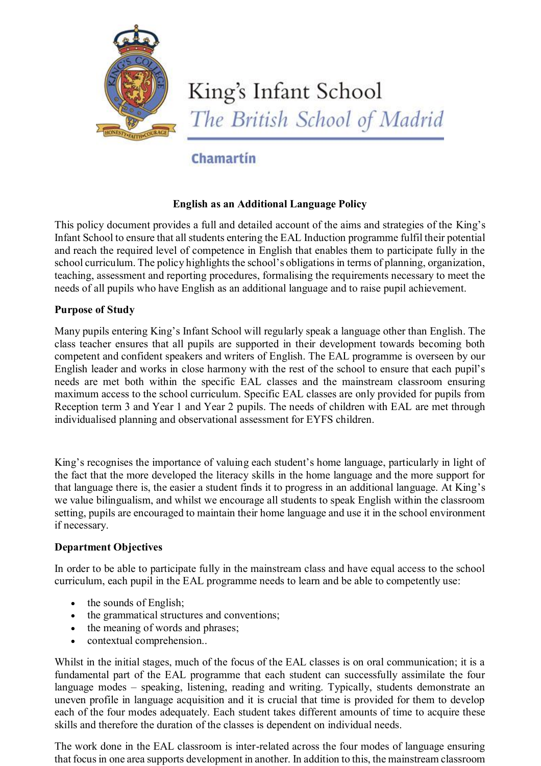

# King's Infant School The British School of Madrid

# Chamartin

## **English as an Additional Language Policy**

This policy document provides a full and detailed account of the aims and strategies of the King's Infant School to ensure that all students entering the EAL Induction programme fulfil their potential and reach the required level of competence in English that enables them to participate fully in the school curriculum. The policy highlights the school's obligations in terms of planning, organization, teaching, assessment and reporting procedures, formalising the requirements necessary to meet the needs of all pupils who have English as an additional language and to raise pupil achievement.

### **Purpose of Study**

Many pupils entering King's Infant School will regularly speak a language other than English. The class teacher ensures that all pupils are supported in their development towards becoming both competent and confident speakers and writers of English. The EAL programme is overseen by our English leader and works in close harmony with the rest of the school to ensure that each pupil's needs are met both within the specific EAL classes and the mainstream classroom ensuring maximum access to the school curriculum. Specific EAL classes are only provided for pupils from Reception term 3 and Year 1 and Year 2 pupils. The needs of children with EAL are met through individualised planning and observational assessment for EYFS children.

King's recognises the importance of valuing each student's home language, particularly in light of the fact that the more developed the literacy skills in the home language and the more support for that language there is, the easier a student finds it to progress in an additional language. At King's we value bilingualism, and whilst we encourage all students to speak English within the classroom setting, pupils are encouraged to maintain their home language and use it in the school environment if necessary.

### **Department Objectives**

In order to be able to participate fully in the mainstream class and have equal access to the school curriculum, each pupil in the EAL programme needs to learn and be able to competently use:

- $\bullet$  the sounds of English;
- the grammatical structures and conventions;
- the meaning of words and phrases;
- contextual comprehension..

Whilst in the initial stages, much of the focus of the EAL classes is on oral communication; it is a fundamental part of the EAL programme that each student can successfully assimilate the four language modes – speaking, listening, reading and writing. Typically, students demonstrate an uneven profile in language acquisition and it is crucial that time is provided for them to develop each of the four modes adequately. Each student takes different amounts of time to acquire these skills and therefore the duration of the classes is dependent on individual needs.

The work done in the EAL classroom is inter-related across the four modes of language ensuring that focus in one area supports development in another. In addition to this, the mainstream classroom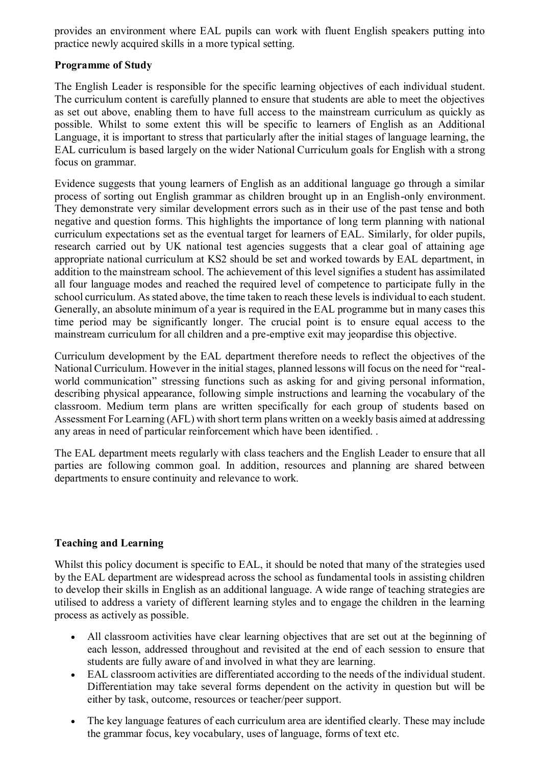provides an environment where EAL pupils can work with fluent English speakers putting into practice newly acquired skills in a more typical setting.

### **Programme of Study**

The English Leader is responsible for the specific learning objectives of each individual student. The curriculum content is carefully planned to ensure that students are able to meet the objectives as set out above, enabling them to have full access to the mainstream curriculum as quickly as possible. Whilst to some extent this will be specific to learners of English as an Additional Language, it is important to stress that particularly after the initial stages of language learning, the EAL curriculum is based largely on the wider National Curriculum goals for English with a strong focus on grammar.

Evidence suggests that young learners of English as an additional language go through a similar process of sorting out English grammar as children brought up in an English-only environment. They demonstrate very similar development errors such as in their use of the past tense and both negative and question forms. This highlights the importance of long term planning with national curriculum expectations set as the eventual target for learners of EAL. Similarly, for older pupils, research carried out by UK national test agencies suggests that a clear goal of attaining age appropriate national curriculum at KS2 should be set and worked towards by EAL department, in addition to the mainstream school. The achievement of this level signifies a student has assimilated all four language modes and reached the required level of competence to participate fully in the school curriculum. As stated above, the time taken to reach these levels is individual to each student. Generally, an absolute minimum of a year is required in the EAL programme but in many cases this time period may be significantly longer. The crucial point is to ensure equal access to the mainstream curriculum for all children and a pre-emptive exit may jeopardise this objective.

Curriculum development by the EAL department therefore needs to reflect the objectives of the National Curriculum. However in the initial stages, planned lessons will focus on the need for "realworld communication" stressing functions such as asking for and giving personal information, describing physical appearance, following simple instructions and learning the vocabulary of the classroom. Medium term plans are written specifically for each group of students based on Assessment For Learning (AFL) with short term plans written on a weekly basis aimed at addressing any areas in need of particular reinforcement which have been identified. .

The EAL department meets regularly with class teachers and the English Leader to ensure that all parties are following common goal. In addition, resources and planning are shared between departments to ensure continuity and relevance to work.

### **Teaching and Learning**

Whilst this policy document is specific to EAL, it should be noted that many of the strategies used by the EAL department are widespread across the school as fundamental tools in assisting children to develop their skills in English as an additional language. A wide range of teaching strategies are utilised to address a variety of different learning styles and to engage the children in the learning process as actively as possible.

- All classroom activities have clear learning objectives that are set out at the beginning of each lesson, addressed throughout and revisited at the end of each session to ensure that students are fully aware of and involved in what they are learning.
- EAL classroom activities are differentiated according to the needs of the individual student. Differentiation may take several forms dependent on the activity in question but will be either by task, outcome, resources or teacher/peer support.
- The key language features of each curriculum area are identified clearly. These may include the grammar focus, key vocabulary, uses of language, forms of text etc.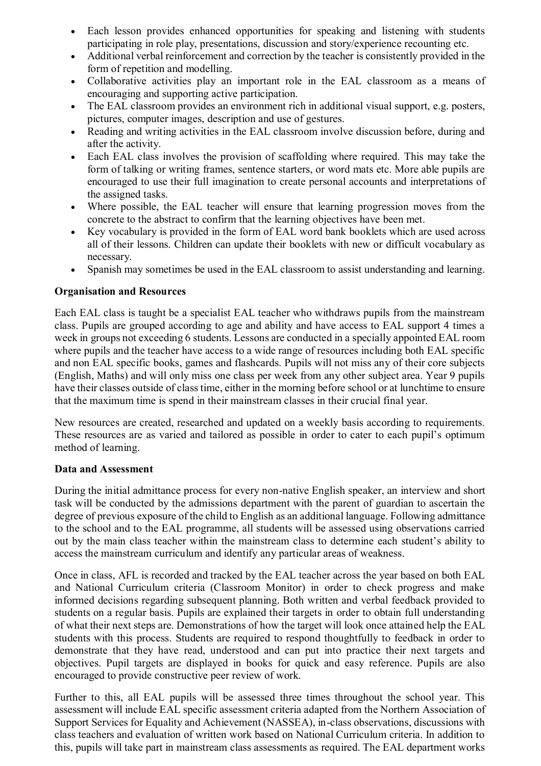- Each lesson provides enhanced opportunities for speaking and listening with students participating in role play, presentations, discussion and story/experience recounting etc.
- Additional verbal reinforcement and correction by the teacher is consistently provided in the form of repetition and modelling.
- Collaborative activities play an important role in the EAL classroom as a means of encouraging and supporting active participation.
- The EAL classroom provides an environment rich in additional visual support, e.g. posters, pictures, computer images, description and use of gestures.
- Reading and writing activities in the EAL classroom involve discussion before, during and after the activity.
- Each EAL class involves the provision of scaffolding where required. This may take the form of talking or writing frames, sentence starters, or word mats etc. More able pupils are encouraged to use their full imagination to create personal accounts and interpretations of the assigned tasks.
- Where possible, the EAL teacher will ensure that learning progression moves from the concrete to the abstract to confirm that the learning objectives have been met.
- x Key vocabulary is provided in the form of EAL word bank booklets which are used across all of their lessons. Children can update their booklets with new or difficult vocabulary as necessary.
- Spanish may sometimes be used in the EAL classroom to assist understanding and learning.

### **Organisation and Resources**

Each EAL class is taught be a specialist EAL teacher who withdraws pupils from the mainstream class. Pupils are grouped according to age and ability and have access to EAL support 4 times a week in groups not exceeding 6 students. Lessons are conducted in a specially appointed EAL room where pupils and the teacher have access to a wide range of resources including both EAL specific and non EAL specific books, games and flashcards. Pupils will not miss any of their core subjects (English, Maths) and will only miss one class per week from any other subject area. Year 9 pupils have their classes outside of class time, either in the morning before school or at lunchtime to ensure that the maximum time is spend in their mainstream classes in their crucial final year.

New resources are created, researched and updated on a weekly basis according to requirements. These resources are as varied and tailored as possible in order to cater to each pupil's optimum method of learning.

#### **Data and Assessment**

During the initial admittance process for every non-native English speaker, an interview and short task will be conducted by the admissions department with the parent of guardian to ascertain the degree of previous exposure of the child to English as an additional language. Following admittance to the school and to the EAL programme, all students will be assessed using observations carried out by the main class teacher within the mainstream class to determine each student's ability to access the mainstream curriculum and identify any particular areas of weakness.

Once in class, AFL is recorded and tracked by the EAL teacher across the year based on both EAL and National Curriculum criteria (Classroom Monitor) in order to check progress and make informed decisions regarding subsequent planning. Both written and verbal feedback provided to students on a regular basis. Pupils are explained their targets in order to obtain full understanding of what their next steps are. Demonstrations of how the target will look once attained help the EAL students with this process. Students are required to respond thoughtfully to feedback in order to demonstrate that they have read, understood and can put into practice their next targets and objectives. Pupil targets are displayed in books for quick and easy reference. Pupils are also encouraged to provide constructive peer review of work.

Further to this, all EAL pupils will be assessed three times throughout the school year. This assessment will include EAL specific assessment criteria adapted from the Northern Association of Support Services for Equality and Achievement (NASSEA), in-class observations, discussions with class teachers and evaluation of written work based on National Curriculum criteria. In addition to this, pupils will take part in mainstream class assessments as required. The EAL department works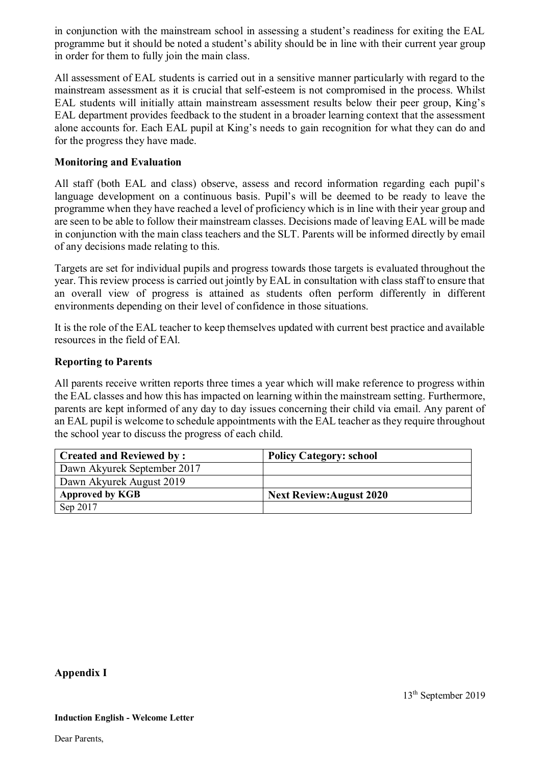in conjunction with the mainstream school in assessing a student's readiness for exiting the EAL programme but it should be noted a student's ability should be in line with their current year group in order for them to fully join the main class.

All assessment of EAL students is carried out in a sensitive manner particularly with regard to the mainstream assessment as it is crucial that self-esteem is not compromised in the process. Whilst EAL students will initially attain mainstream assessment results below their peer group, King's EAL department provides feedback to the student in a broader learning context that the assessment alone accounts for. Each EAL pupil at King's needs to gain recognition for what they can do and for the progress they have made.

#### **Monitoring and Evaluation**

All staff (both EAL and class) observe, assess and record information regarding each pupil's language development on a continuous basis. Pupil's will be deemed to be ready to leave the programme when they have reached a level of proficiency which is in line with their year group and are seen to be able to follow their mainstream classes. Decisions made of leaving EAL will be made in conjunction with the main class teachers and the SLT. Parents will be informed directly by email of any decisions made relating to this.

Targets are set for individual pupils and progress towards those targets is evaluated throughout the year. This review process is carried out jointly by EAL in consultation with class staff to ensure that an overall view of progress is attained as students often perform differently in different environments depending on their level of confidence in those situations.

It is the role of the EAL teacher to keep themselves updated with current best practice and available resources in the field of EAl.

#### **Reporting to Parents**

All parents receive written reports three times a year which will make reference to progress within the EAL classes and how this has impacted on learning within the mainstream setting. Furthermore, parents are kept informed of any day to day issues concerning their child via email. Any parent of an EAL pupil is welcome to schedule appointments with the EAL teacher as they require throughout the school year to discuss the progress of each child.

| <b>Created and Reviewed by:</b> | <b>Policy Category: school</b>  |
|---------------------------------|---------------------------------|
| Dawn Akyurek September 2017     |                                 |
| Dawn Akyurek August 2019        |                                 |
| <b>Approved by KGB</b>          | <b>Next Review: August 2020</b> |
| Sep 2017                        |                                 |

#### **Appendix I**